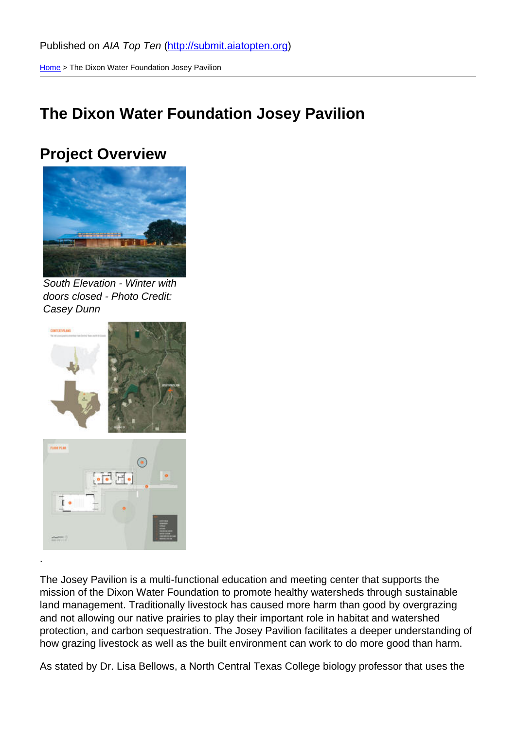Home > The Dixon Water Foundation Josey Pavilion

# [The](http://submit.aiatopten.org/) Dixon Water Foundation Josey Pavilion

## Project Overview

South Elevation - Winter with doors closed - Photo Credit: Casey Dunn

.

The Josey Pavilion is a multi-functional education and meeting center that supports the mission of the Dixon Water Foundation to promote healthy watersheds through sustainable land management. Traditionally livestock has caused more harm than good by overgrazing and not allowing our native prairies to play their important role in habitat and watershed protection, and carbon sequestration. The Josey Pavilion facilitates a deeper understanding of how grazing livestock as well as the built environment can work to do more good than harm.

As stated by Dr. Lisa Bellows, a North Central Texas College biology professor that uses the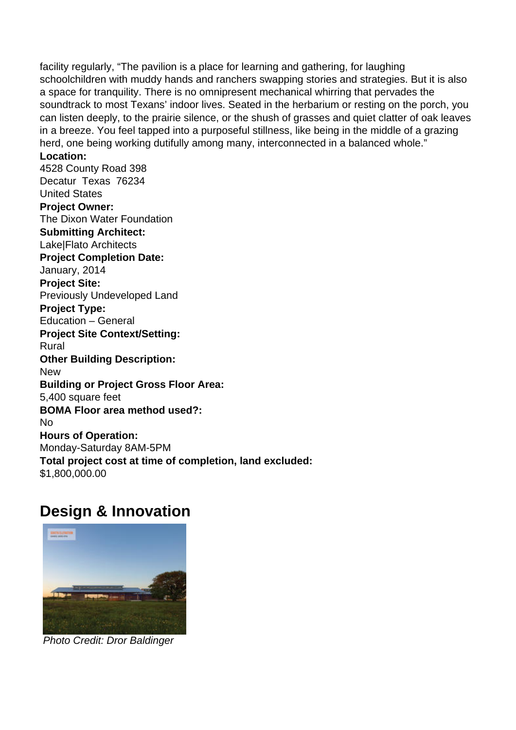facility regularly, "The pavilion is a place for learning and gathering, for laughing schoolchildren with muddy hands and ranchers swapping stories and strategies. But it is also a space for tranquility. There is no omnipresent mechanical whirring that pervades the soundtrack to most Texans' indoor lives. Seated in the herbarium or resting on the porch, you can listen deeply, to the prairie silence, or the shush of grasses and quiet clatter of oak leaves in a breeze. You feel tapped into a purposeful stillness, like being in the middle of a grazing herd, one being working dutifully among many, interconnected in a balanced whole."

### **Location:**

4528 County Road 398 Decatur Texas 76234 United States **Project Owner:**  The Dixon Water Foundation **Submitting Architect:**  Lake|Flato Architects **Project Completion Date:**  January, 2014 **Project Site:**  Previously Undeveloped Land **Project Type:**  Education – General **Project Site Context/Setting:**  Rural **Other Building Description: New Building or Project Gross Floor Area:**  5,400 square feet **BOMA Floor area method used?:**  No **Hours of Operation:**  Monday-Saturday 8AM-5PM **Total project cost at time of completion, land excluded:**  \$1,800,000.00

## **Design & Innovation**



Photo Credit: Dror Baldinger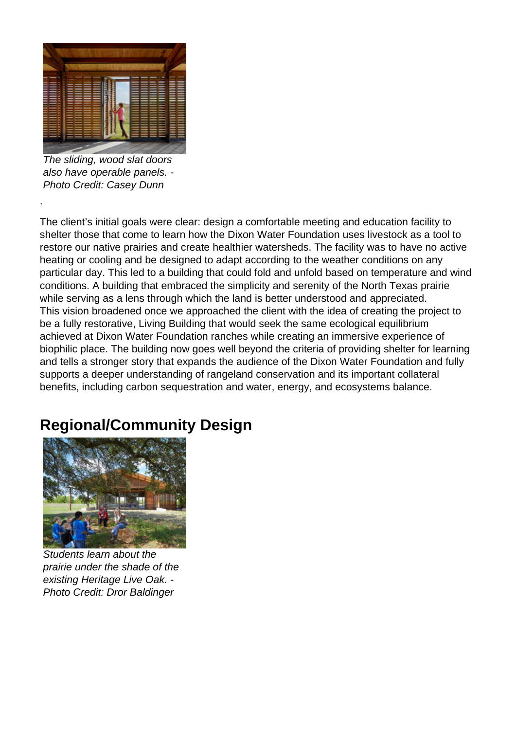

The sliding, wood slat doors also have operable panels. - Photo Credit: Casey Dunn

.

The client's initial goals were clear: design a comfortable meeting and education facility to shelter those that come to learn how the Dixon Water Foundation uses livestock as a tool to restore our native prairies and create healthier watersheds. The facility was to have no active heating or cooling and be designed to adapt according to the weather conditions on any particular day. This led to a building that could fold and unfold based on temperature and wind conditions. A building that embraced the simplicity and serenity of the North Texas prairie while serving as a lens through which the land is better understood and appreciated. This vision broadened once we approached the client with the idea of creating the project to be a fully restorative, Living Building that would seek the same ecological equilibrium achieved at Dixon Water Foundation ranches while creating an immersive experience of biophilic place. The building now goes well beyond the criteria of providing shelter for learning and tells a stronger story that expands the audience of the Dixon Water Foundation and fully supports a deeper understanding of rangeland conservation and its important collateral benefits, including carbon sequestration and water, energy, and ecosystems balance.

# **Regional/Community Design**



Students learn about the prairie under the shade of the existing Heritage Live Oak. - Photo Credit: Dror Baldinger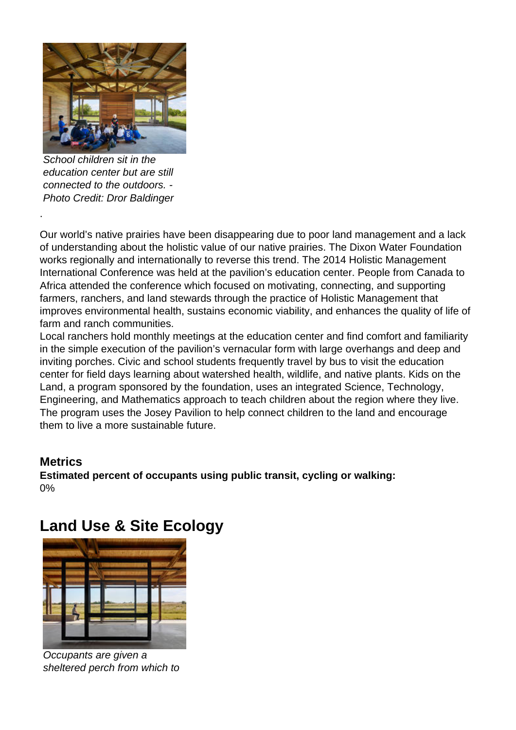

School children sit in the education center but are still connected to the outdoors. - Photo Credit: Dror Baldinger

Our world's native prairies have been disappearing due to poor land management and a lack of understanding about the holistic value of our native prairies. The Dixon Water Foundation works regionally and internationally to reverse this trend. The 2014 Holistic Management International Conference was held at the pavilion's education center. People from Canada to Africa attended the conference which focused on motivating, connecting, and supporting farmers, ranchers, and land stewards through the practice of Holistic Management that improves environmental health, sustains economic viability, and enhances the quality of life of farm and ranch communities.

Local ranchers hold monthly meetings at the education center and find comfort and familiarity in the simple execution of the pavilion's vernacular form with large overhangs and deep and inviting porches. Civic and school students frequently travel by bus to visit the education center for field days learning about watershed health, wildlife, and native plants. Kids on the Land, a program sponsored by the foundation, uses an integrated Science, Technology, Engineering, and Mathematics approach to teach children about the region where they live. The program uses the Josey Pavilion to help connect children to the land and encourage them to live a more sustainable future.

### **Metrics**

.

**Estimated percent of occupants using public transit, cycling or walking:**  0%

# **Land Use & Site Ecology**



Occupants are given a sheltered perch from which to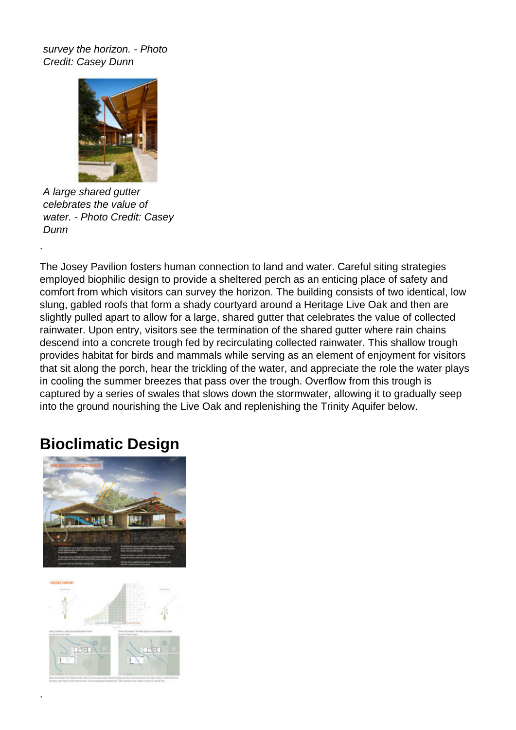survey the horizon. - Photo Credit: Casey Dunn



A large shared gutter celebrates the value of water. - Photo Credit: Casey Dunn

.

The Josey Pavilion fosters human connection to land and water. Careful siting strategies employed biophilic design to provide a sheltered perch as an enticing place of safety and comfort from which visitors can survey the horizon. The building consists of two identical, low slung, gabled roofs that form a shady courtyard around a Heritage Live Oak and then are slightly pulled apart to allow for a large, shared gutter that celebrates the value of collected rainwater. Upon entry, visitors see the termination of the shared gutter where rain chains descend into a concrete trough fed by recirculating collected rainwater. This shallow trough provides habitat for birds and mammals while serving as an element of enjoyment for visitors that sit along the porch, hear the trickling of the water, and appreciate the role the water plays in cooling the summer breezes that pass over the trough. Overflow from this trough is captured by a series of swales that slows down the stormwater, allowing it to gradually seep into the ground nourishing the Live Oak and replenishing the Trinity Aquifer below.

# **Bioclimatic Design**





.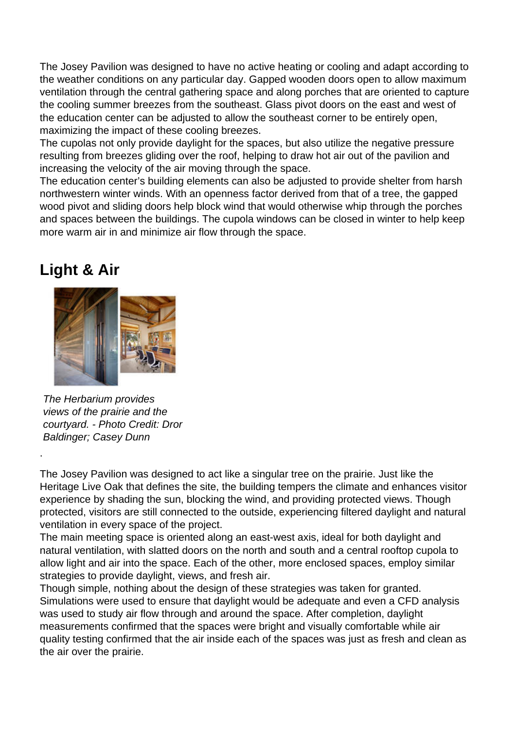The Josey Pavilion was designed to have no active heating or cooling and adapt according to the weather conditions on any particular day. Gapped wooden doors open to allow maximum ventilation through the central gathering space and along porches that are oriented to capture the cooling summer breezes from the southeast. Glass pivot doors on the east and west of the education center can be adjusted to allow the southeast corner to be entirely open, maximizing the impact of these cooling breezes.

The cupolas not only provide daylight for the spaces, but also utilize the negative pressure resulting from breezes gliding over the roof, helping to draw hot air out of the pavilion and increasing the velocity of the air moving through the space.

The education center's building elements can also be adjusted to provide shelter from harsh northwestern winter winds. With an openness factor derived from that of a tree, the gapped wood pivot and sliding doors help block wind that would otherwise whip through the porches and spaces between the buildings. The cupola windows can be closed in winter to help keep more warm air in and minimize air flow through the space.

## **Light & Air**

.



The Herbarium provides views of the prairie and the courtyard. - Photo Credit: Dror Baldinger; Casey Dunn

The Josey Pavilion was designed to act like a singular tree on the prairie. Just like the Heritage Live Oak that defines the site, the building tempers the climate and enhances visitor experience by shading the sun, blocking the wind, and providing protected views. Though protected, visitors are still connected to the outside, experiencing filtered daylight and natural ventilation in every space of the project.

The main meeting space is oriented along an east-west axis, ideal for both daylight and natural ventilation, with slatted doors on the north and south and a central rooftop cupola to allow light and air into the space. Each of the other, more enclosed spaces, employ similar strategies to provide daylight, views, and fresh air.

Though simple, nothing about the design of these strategies was taken for granted. Simulations were used to ensure that daylight would be adequate and even a CFD analysis was used to study air flow through and around the space. After completion, daylight measurements confirmed that the spaces were bright and visually comfortable while air quality testing confirmed that the air inside each of the spaces was just as fresh and clean as the air over the prairie.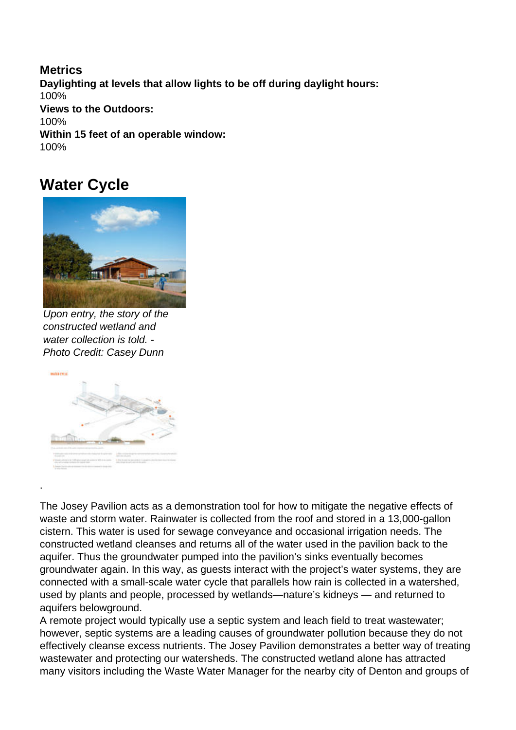**Metrics Daylighting at levels that allow lights to be off during daylight hours:**  100% **Views to the Outdoors:**  100% **Within 15 feet of an operable window:**  100%

### **Water Cycle**



Upon entry, the story of the constructed wetland and water collection is told. - Photo Credit: Casey Dunn



.

The Josey Pavilion acts as a demonstration tool for how to mitigate the negative effects of waste and storm water. Rainwater is collected from the roof and stored in a 13,000-gallon cistern. This water is used for sewage conveyance and occasional irrigation needs. The constructed wetland cleanses and returns all of the water used in the pavilion back to the aquifer. Thus the groundwater pumped into the pavilion's sinks eventually becomes groundwater again. In this way, as guests interact with the project's water systems, they are connected with a small-scale water cycle that parallels how rain is collected in a watershed, used by plants and people, processed by wetlands—nature's kidneys — and returned to aquifers belowground.

A remote project would typically use a septic system and leach field to treat wastewater; however, septic systems are a leading causes of groundwater pollution because they do not effectively cleanse excess nutrients. The Josey Pavilion demonstrates a better way of treating wastewater and protecting our watersheds. The constructed wetland alone has attracted many visitors including the Waste Water Manager for the nearby city of Denton and groups of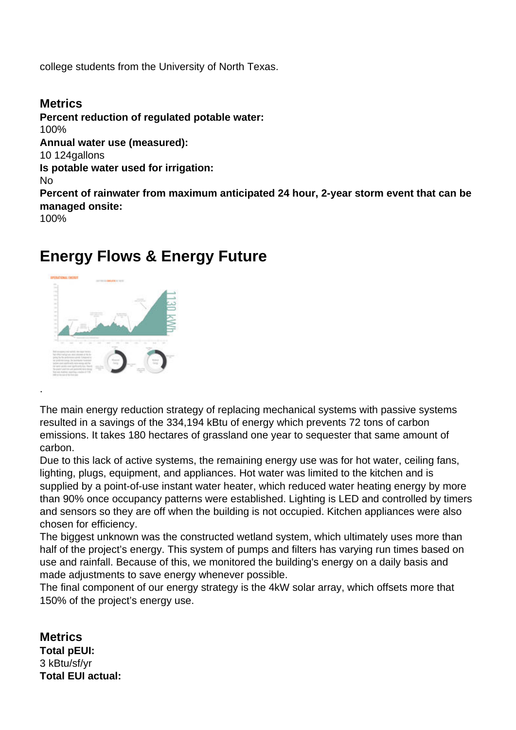college students from the University of North Texas.

### **Metrics**

.

**Percent reduction of regulated potable water:**  100% **Annual water use (measured):**  10 124gallons **Is potable water used for irrigation:**  No **Percent of rainwater from maximum anticipated 24 hour, 2-year storm event that can be managed onsite:**  100%

## **Energy Flows & Energy Future**



The main energy reduction strategy of replacing mechanical systems with passive systems resulted in a savings of the 334,194 kBtu of energy which prevents 72 tons of carbon emissions. It takes 180 hectares of grassland one year to sequester that same amount of carbon.

Due to this lack of active systems, the remaining energy use was for hot water, ceiling fans, lighting, plugs, equipment, and appliances. Hot water was limited to the kitchen and is supplied by a point-of-use instant water heater, which reduced water heating energy by more than 90% once occupancy patterns were established. Lighting is LED and controlled by timers and sensors so they are off when the building is not occupied. Kitchen appliances were also chosen for efficiency.

The biggest unknown was the constructed wetland system, which ultimately uses more than half of the project's energy. This system of pumps and filters has varying run times based on use and rainfall. Because of this, we monitored the building's energy on a daily basis and made adjustments to save energy whenever possible.

The final component of our energy strategy is the 4kW solar array, which offsets more that 150% of the project's energy use.

**Metrics Total pEUI:**  3 kBtu/sf/yr **Total EUI actual:**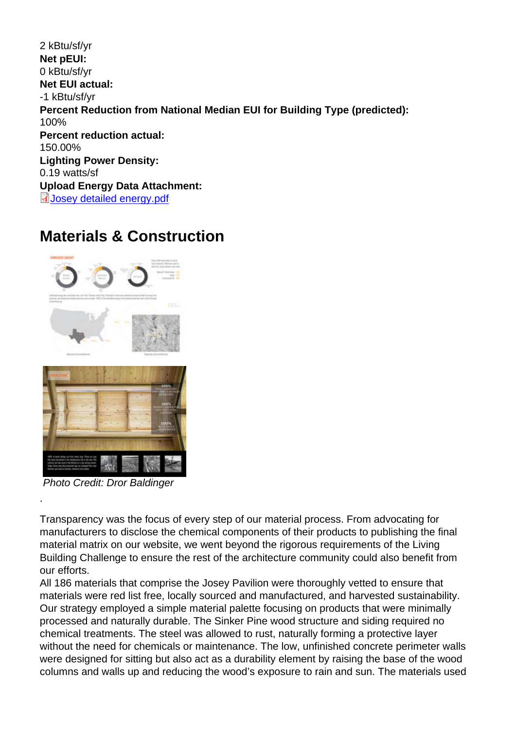2 kBtu/sf/yr Net pEUI: 0 kBtu/sf/yr Net EUI actual: -1 kBtu/sf/yr Percent Reduction from National Median EUI for Building Type (predicted): 100% Percent reduction actual: 150.00% Lighting Power Density: 0.19 watts/sf Upload Energy Data Attachment: Josey detailed energy.pdf

## [Materials & Constru](http://submit.aiatopten.org/sites/default/files/Josey detailed energy.pdf)ction

Photo Credit: Dror Baldinger

.

Transparency was the focus of every step of our material process. From advocating for manufacturers to disclose the chemical components of their products to publishing the final material matrix on our website, we went beyond the rigorous requirements of the Living Building Challenge to ensure the rest of the architecture community could also benefit from our efforts.

All 186 materials that comprise the Josey Pavilion were thoroughly vetted to ensure that materials were red list free, locally sourced and manufactured, and harvested sustainability. Our strategy employed a simple material palette focusing on products that were minimally processed and naturally durable. The Sinker Pine wood structure and siding required no chemical treatments. The steel was allowed to rust, naturally forming a protective layer without the need for chemicals or maintenance. The low, unfinished concrete perimeter walls were designed for sitting but also act as a durability element by raising the base of the wood columns and walls up and reducing the wood's exposure to rain and sun. The materials used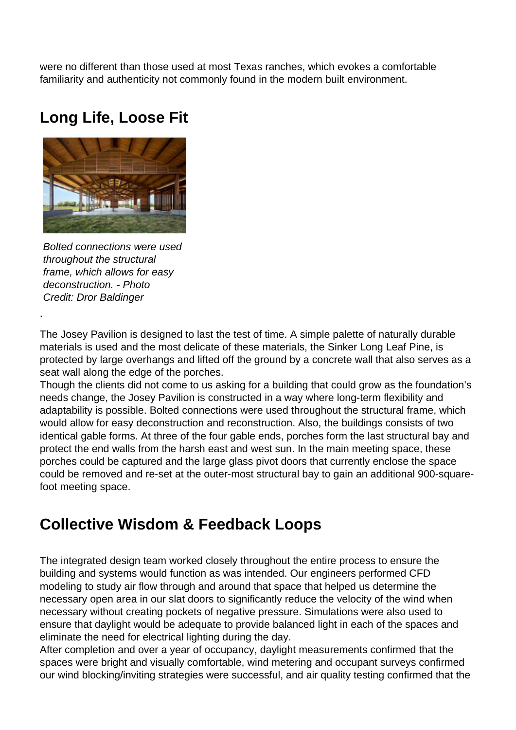were no different than those used at most Texas ranches, which evokes a comfortable familiarity and authenticity not commonly found in the modern built environment.

# **Long Life, Loose Fit**



Bolted connections were used throughout the structural frame, which allows for easy deconstruction. - Photo Credit: Dror Baldinger

.

The Josey Pavilion is designed to last the test of time. A simple palette of naturally durable materials is used and the most delicate of these materials, the Sinker Long Leaf Pine, is protected by large overhangs and lifted off the ground by a concrete wall that also serves as a seat wall along the edge of the porches.

Though the clients did not come to us asking for a building that could grow as the foundation's needs change, the Josey Pavilion is constructed in a way where long-term flexibility and adaptability is possible. Bolted connections were used throughout the structural frame, which would allow for easy deconstruction and reconstruction. Also, the buildings consists of two identical gable forms. At three of the four gable ends, porches form the last structural bay and protect the end walls from the harsh east and west sun. In the main meeting space, these porches could be captured and the large glass pivot doors that currently enclose the space could be removed and re-set at the outer-most structural bay to gain an additional 900-squarefoot meeting space.

# **Collective Wisdom & Feedback Loops**

The integrated design team worked closely throughout the entire process to ensure the building and systems would function as was intended. Our engineers performed CFD modeling to study air flow through and around that space that helped us determine the necessary open area in our slat doors to significantly reduce the velocity of the wind when necessary without creating pockets of negative pressure. Simulations were also used to ensure that daylight would be adequate to provide balanced light in each of the spaces and eliminate the need for electrical lighting during the day.

After completion and over a year of occupancy, daylight measurements confirmed that the spaces were bright and visually comfortable, wind metering and occupant surveys confirmed our wind blocking/inviting strategies were successful, and air quality testing confirmed that the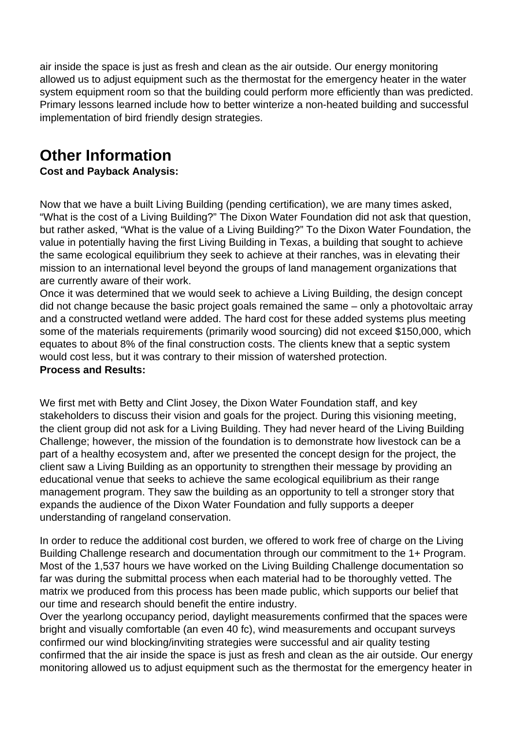air inside the space is just as fresh and clean as the air outside. Our energy monitoring allowed us to adjust equipment such as the thermostat for the emergency heater in the water system equipment room so that the building could perform more efficiently than was predicted. Primary lessons learned include how to better winterize a non-heated building and successful implementation of bird friendly design strategies.

# **Other Information**

### **Cost and Payback Analysis:**

Now that we have a built Living Building (pending certification), we are many times asked, "What is the cost of a Living Building?" The Dixon Water Foundation did not ask that question, but rather asked, "What is the value of a Living Building?" To the Dixon Water Foundation, the value in potentially having the first Living Building in Texas, a building that sought to achieve the same ecological equilibrium they seek to achieve at their ranches, was in elevating their mission to an international level beyond the groups of land management organizations that are currently aware of their work.

Once it was determined that we would seek to achieve a Living Building, the design concept did not change because the basic project goals remained the same – only a photovoltaic array and a constructed wetland were added. The hard cost for these added systems plus meeting some of the materials requirements (primarily wood sourcing) did not exceed \$150,000, which equates to about 8% of the final construction costs. The clients knew that a septic system would cost less, but it was contrary to their mission of watershed protection.

### **Process and Results:**

We first met with Betty and Clint Josey, the Dixon Water Foundation staff, and key stakeholders to discuss their vision and goals for the project. During this visioning meeting, the client group did not ask for a Living Building. They had never heard of the Living Building Challenge; however, the mission of the foundation is to demonstrate how livestock can be a part of a healthy ecosystem and, after we presented the concept design for the project, the client saw a Living Building as an opportunity to strengthen their message by providing an educational venue that seeks to achieve the same ecological equilibrium as their range management program. They saw the building as an opportunity to tell a stronger story that expands the audience of the Dixon Water Foundation and fully supports a deeper understanding of rangeland conservation.

In order to reduce the additional cost burden, we offered to work free of charge on the Living Building Challenge research and documentation through our commitment to the 1+ Program. Most of the 1,537 hours we have worked on the Living Building Challenge documentation so far was during the submittal process when each material had to be thoroughly vetted. The matrix we produced from this process has been made public, which supports our belief that our time and research should benefit the entire industry.

Over the yearlong occupancy period, daylight measurements confirmed that the spaces were bright and visually comfortable (an even 40 fc), wind measurements and occupant surveys confirmed our wind blocking/inviting strategies were successful and air quality testing confirmed that the air inside the space is just as fresh and clean as the air outside. Our energy monitoring allowed us to adjust equipment such as the thermostat for the emergency heater in